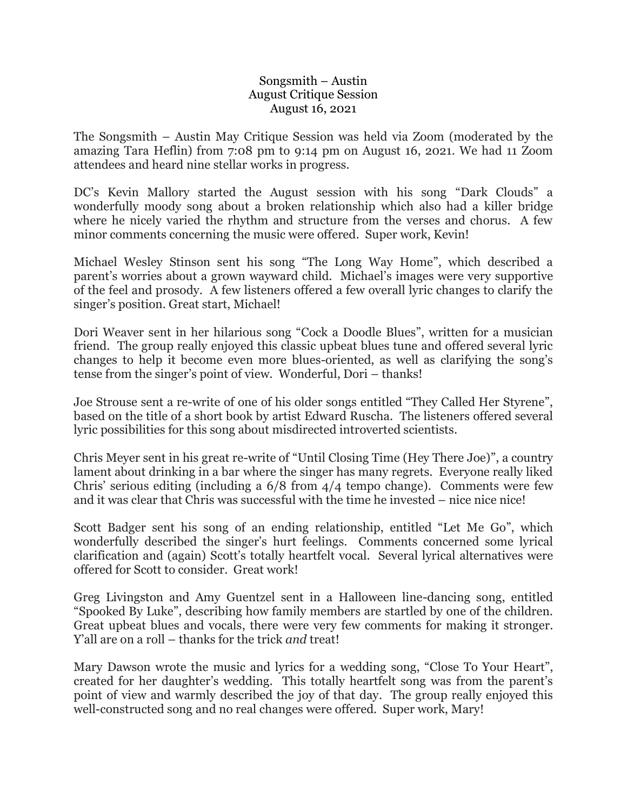## Songsmith – Austin August Critique Session August 16, 2021

The Songsmith – Austin May Critique Session was held via Zoom (moderated by the amazing Tara Heflin) from 7:08 pm to 9:14 pm on August 16, 2021. We had 11 Zoom attendees and heard nine stellar works in progress.

DC's Kevin Mallory started the August session with his song "Dark Clouds" a wonderfully moody song about a broken relationship which also had a killer bridge where he nicely varied the rhythm and structure from the verses and chorus. A few minor comments concerning the music were offered. Super work, Kevin!

Michael Wesley Stinson sent his song "The Long Way Home", which described a parent's worries about a grown wayward child. Michael's images were very supportive of the feel and prosody. A few listeners offered a few overall lyric changes to clarify the singer's position. Great start, Michael!

Dori Weaver sent in her hilarious song "Cock a Doodle Blues", written for a musician friend. The group really enjoyed this classic upbeat blues tune and offered several lyric changes to help it become even more blues-oriented, as well as clarifying the song's tense from the singer's point of view. Wonderful, Dori – thanks!

Joe Strouse sent a re-write of one of his older songs entitled "They Called Her Styrene", based on the title of a short book by artist Edward Ruscha. The listeners offered several lyric possibilities for this song about misdirected introverted scientists.

Chris Meyer sent in his great re-write of "Until Closing Time (Hey There Joe)", a country lament about drinking in a bar where the singer has many regrets. Everyone really liked Chris' serious editing (including a 6/8 from 4/4 tempo change). Comments were few and it was clear that Chris was successful with the time he invested – nice nice nice!

Scott Badger sent his song of an ending relationship, entitled "Let Me Go", which wonderfully described the singer's hurt feelings. Comments concerned some lyrical clarification and (again) Scott's totally heartfelt vocal. Several lyrical alternatives were offered for Scott to consider. Great work!

Greg Livingston and Amy Guentzel sent in a Halloween line-dancing song, entitled "Spooked By Luke", describing how family members are startled by one of the children. Great upbeat blues and vocals, there were very few comments for making it stronger. Y'all are on a roll – thanks for the trick *and* treat!

Mary Dawson wrote the music and lyrics for a wedding song, "Close To Your Heart", created for her daughter's wedding. This totally heartfelt song was from the parent's point of view and warmly described the joy of that day. The group really enjoyed this well-constructed song and no real changes were offered. Super work, Mary!